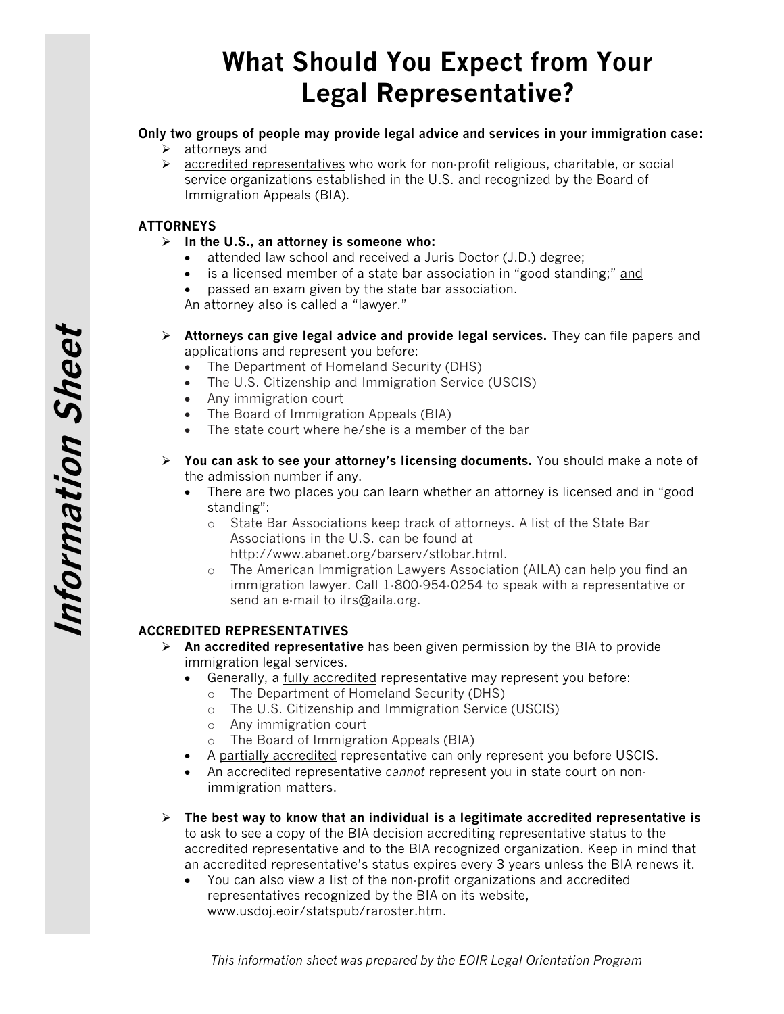# What Should You Expect from Your Legal Representative?

## Only two groups of people may provide legal advice and services in your immigration case:

- > attorneys and
- $\triangleright$  accredited representatives who work for non-profit religious, charitable, or social service organizations established in the U.S. and recognized by the Board of Immigration Appeals (BIA).

### **ATTORNEYS**

- $\triangleright$  In the U.S., an attorney is someone who:
	- attended law school and received a Juris Doctor (J.D.) degree;
	- is a licensed member of a state bar association in "good standing;" and
	- passed an exam given by the state bar association.

An attorney also is called a "lawyer."

- $\triangleright$  Attorneys can give legal advice and provide legal services. They can file papers and applications and represent you before:
	- The Department of Homeland Security (DHS)
	- The U.S. Citizenship and Immigration Service (USCIS)
	- Any immigration court
	- The Board of Immigration Appeals (BIA)
	- The state court where he/she is a member of the bar
- $\triangleright$  You can ask to see your attorney's licensing documents. You should make a note of the admission number if any.
	- There are two places you can learn whether an attorney is licensed and in "good standing":
		- o State Bar Associations keep track of attorneys. A list of the State Bar Associations in the U.S. can be found at http://www.abanet.org/barserv/stlobar.html.
		- o The American Immigration Lawyers Association (AILA) can help you find an immigration lawyer. Call 1-800-954-0254 to speak with a representative or send an e-mail to ilrs@aila.org.

## ACCREDITED REPRESENTATIVES

- $\triangleright$  An accredited representative has been given permission by the BIA to provide immigration legal services.
	- Generally, a fully accredited representative may represent you before:
		- o The Department of Homeland Security (DHS)
		- o The U.S. Citizenship and Immigration Service (USCIS)
		- o Any immigration court
		- o The Board of Immigration Appeals (BIA)
	- A partially accredited representative can only represent you before USCIS.
	- An accredited representative cannot represent you in state court on nonimmigration matters.
- $\triangleright$  The best way to know that an individual is a legitimate accredited representative is to ask to see a copy of the BIA decision accrediting representative status to the accredited representative and to the BIA recognized organization. Keep in mind that an accredited representative's status expires every 3 years unless the BIA renews it.
	- You can also view a list of the non-profit organizations and accredited representatives recognized by the BIA on its website, www.usdoj.eoir/statspub/raroster.htm.